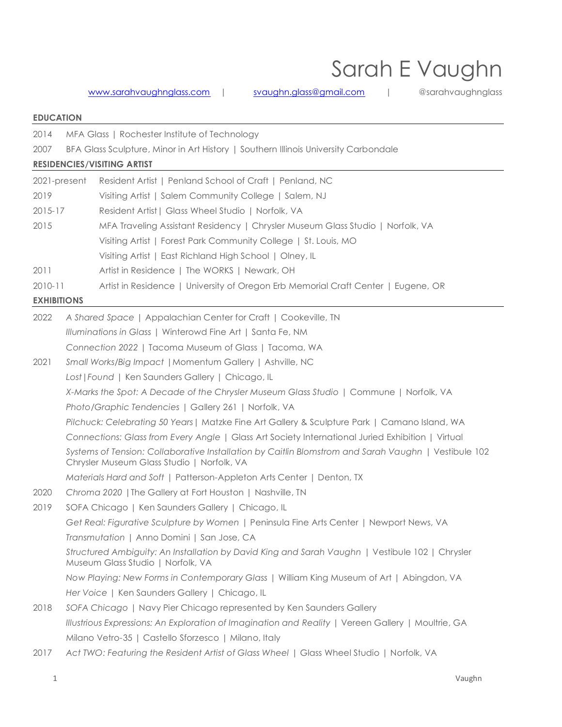# Sarah E Vaughn

## [www.sarahvaughnglass.com](http://www.sarahvaughnglass.com/) | [svaughn.glass@gmail.com](mailto:svaughn.glass@gmail.com) | @sarahvaughnglass

### **EDUCATION**

| 2014               |                                                                                                                                      | MFA Glass   Rochester Institute of Technology                                                                                                      |  |  |  |  |
|--------------------|--------------------------------------------------------------------------------------------------------------------------------------|----------------------------------------------------------------------------------------------------------------------------------------------------|--|--|--|--|
| 2007               | BFA Glass Sculpture, Minor in Art History   Southern Illinois University Carbondale                                                  |                                                                                                                                                    |  |  |  |  |
|                    |                                                                                                                                      | <b>RESIDENCIES/VISITING ARTIST</b>                                                                                                                 |  |  |  |  |
| 2021-present       |                                                                                                                                      | Resident Artist   Penland School of Craft   Penland, NC                                                                                            |  |  |  |  |
| 2019               |                                                                                                                                      | Visiting Artist   Salem Community College   Salem, NJ                                                                                              |  |  |  |  |
| 2015-17            |                                                                                                                                      | Resident Artist   Glass Wheel Studio   Norfolk, VA                                                                                                 |  |  |  |  |
| 2015               |                                                                                                                                      | MFA Traveling Assistant Residency   Chrysler Museum Glass Studio   Norfolk, VA                                                                     |  |  |  |  |
|                    |                                                                                                                                      | Visiting Artist   Forest Park Community College   St. Louis, MO                                                                                    |  |  |  |  |
|                    |                                                                                                                                      | Visiting Artist   East Richland High School   Olney, IL                                                                                            |  |  |  |  |
| 2011               |                                                                                                                                      | Artist in Residence   The WORKS   Newark, OH                                                                                                       |  |  |  |  |
| $2010 - 11$        |                                                                                                                                      | Artist in Residence   University of Oregon Erb Memorial Craft Center   Eugene, OR                                                                  |  |  |  |  |
| <b>EXHIBITIONS</b> |                                                                                                                                      |                                                                                                                                                    |  |  |  |  |
| 2022               |                                                                                                                                      | A Shared Space   Appalachian Center for Craft   Cookeville, TN                                                                                     |  |  |  |  |
|                    | Illuminations in Glass   Winterowd Fine Art   Santa Fe, NM                                                                           |                                                                                                                                                    |  |  |  |  |
|                    |                                                                                                                                      | Connection 2022   Tacoma Museum of Glass   Tacoma, WA                                                                                              |  |  |  |  |
| 2021               | Small Works/Big Impact   Momentum Gallery   Ashville, NC                                                                             |                                                                                                                                                    |  |  |  |  |
|                    |                                                                                                                                      | Lost   Found   Ken Saunders Gallery   Chicago, IL                                                                                                  |  |  |  |  |
|                    | X-Marks the Spot: A Decade of the Chrysler Museum Glass Studio   Commune   Norfolk, VA                                               |                                                                                                                                                    |  |  |  |  |
|                    | Photo/Graphic Tendencies   Gallery 261   Norfolk, VA                                                                                 |                                                                                                                                                    |  |  |  |  |
|                    | Pilchuck: Celebrating 50 Years   Matzke Fine Art Gallery & Sculpture Park   Camano Island, WA                                        |                                                                                                                                                    |  |  |  |  |
|                    | Connections: Glass from Every Angle   Glass Art Society International Juried Exhibition   Virtual                                    |                                                                                                                                                    |  |  |  |  |
|                    |                                                                                                                                      | Systems of Tension: Collaborative Installation by Caitlin Blomstrom and Sarah Vaughn   Vestibule 102<br>Chrysler Museum Glass Studio   Norfolk, VA |  |  |  |  |
|                    |                                                                                                                                      | Materials Hard and Soft   Patterson-Appleton Arts Center   Denton, TX                                                                              |  |  |  |  |
| 2020               |                                                                                                                                      | Chroma 2020   The Gallery at Fort Houston   Nashville, TN                                                                                          |  |  |  |  |
| 2019               |                                                                                                                                      | SOFA Chicago   Ken Saunders Gallery   Chicago, IL                                                                                                  |  |  |  |  |
|                    |                                                                                                                                      | Get Real: Figurative Sculpture by Women   Peninsula Fine Arts Center   Newport News, VA                                                            |  |  |  |  |
|                    | Transmutation   Anno Domini   San Jose, CA                                                                                           |                                                                                                                                                    |  |  |  |  |
|                    | Structured Ambiguity: An Installation by David King and Sarah Vaughn   Vestibule 102   Chrysler<br>Museum Glass Studio   Norfolk, VA |                                                                                                                                                    |  |  |  |  |
|                    | Now Playing: New Forms in Contemporary Glass   William King Museum of Art   Abingdon, VA                                             |                                                                                                                                                    |  |  |  |  |
|                    | Her Voice   Ken Saunders Gallery   Chicago, IL                                                                                       |                                                                                                                                                    |  |  |  |  |
| 2018               |                                                                                                                                      | SOFA Chicago   Navy Pier Chicago represented by Ken Saunders Gallery                                                                               |  |  |  |  |
|                    |                                                                                                                                      | Illustrious Expressions: An Exploration of Imagination and Reality   Vereen Gallery   Moultrie, GA                                                 |  |  |  |  |
|                    |                                                                                                                                      | Milano Vetro-35   Castello Sforzesco   Milano, Italy                                                                                               |  |  |  |  |
| 2017               |                                                                                                                                      | Act TWO: Featuring the Resident Artist of Glass Wheel   Glass Wheel Studio   Norfolk, VA                                                           |  |  |  |  |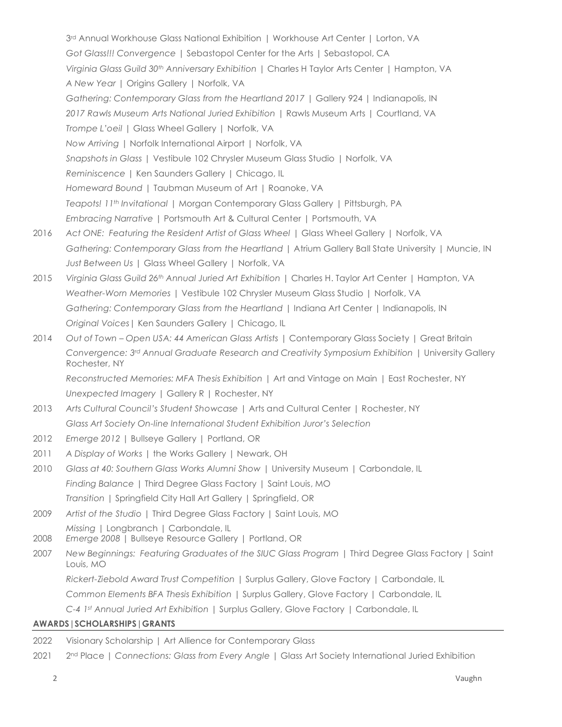3rd Annual Workhouse Glass National Exhibition | Workhouse Art Center | Lorton, VA *Got Glass!!! Convergence* | Sebastopol Center for the Arts | Sebastopol, CA *Virginia Glass Guild 30th Anniversary Exhibition* | Charles H Taylor Arts Center | Hampton, VA *A New Year* | Origins Gallery | Norfolk, VA *Gathering: Contemporary Glass from the Heartland 2017* | Gallery 924 | Indianapolis, IN *2017 Rawls Museum Arts National Juried Exhibition* | Rawls Museum Arts | Courtland, VA *Trompe L'oeil* | Glass Wheel Gallery | Norfolk, VA *Now Arriving* | Norfolk International Airport | Norfolk, VA *Snapshots in Glass* | Vestibule 102 Chrysler Museum Glass Studio | Norfolk, VA *Reminiscence* | Ken Saunders Gallery | Chicago, IL *Homeward Bound* | Taubman Museum of Art | Roanoke, VA *Teapots! 11th Invitational* | Morgan Contemporary Glass Gallery | Pittsburgh, PA *Embracing Narrative* | Portsmouth Art & Cultural Center | Portsmouth, VA 2016 *Act ONE: Featuring the Resident Artist of Glass Wheel* | Glass Wheel Gallery | Norfolk, VA *Gathering: Contemporary Glass from the Heartland* | Atrium Gallery Ball State University | Muncie, IN *Just Between Us* | Glass Wheel Gallery | Norfolk, VA 2015 *Virginia Glass Guild 26th Annual Juried Art Exhibition* | Charles H. Taylor Art Center | Hampton, VA *Weather-Worn Memories* | Vestibule 102 Chrysler Museum Glass Studio | Norfolk, VA *Gathering: Contemporary Glass from the Heartland* | Indiana Art Center | Indianapolis, IN *Original Voices*| Ken Saunders Gallery | Chicago, IL 2014 *Out of Town – Open USA: 44 American Glass Artists* | Contemporary Glass Society | Great Britain *Convergence: 3rd Annual Graduate Research and Creativity Symposium Exhibition* | University Gallery Rochester, NY *Reconstructed Memories: MFA Thesis Exhibition* | Art and Vintage on Main | East Rochester, NY *Unexpected Imagery* | Gallery R | Rochester, NY 2013 *Arts Cultural Council's Student Showcase* | Arts and Cultural Center | Rochester, NY *Glass Art Society On-line International Student Exhibition Juror's Selection*  2012 *Emerge 2012* | Bullseye Gallery | Portland, OR 2011 *A Display of Works* | the Works Gallery | Newark, OH 2010 *Glass at 40: Southern Glass Works Alumni Show* | University Museum | Carbondale, IL

*Finding Balance* | Third Degree Glass Factory | Saint Louis, MO

*Transition* | Springfield City Hall Art Gallery | Springfield, OR

- 2009 *Artist of the Studio* | Third Degree Glass Factory | Saint Louis, MO
- *Missing* | Longbranch | Carbondale, IL
- 2008 *Emerge 2008* | Bullseye Resource Gallery | Portland, OR
- 2007 *New Beginnings: Featuring Graduates of the SIUC Glass Program* | Third Degree Glass Factory | Saint Louis, MO

*Rickert-Ziebold Award Trust Competition* | Surplus Gallery, Glove Factory | Carbondale, IL

*Common Elements BFA Thesis Exhibition* | Surplus Gallery, Glove Factory | Carbondale, IL

*C-4 1st Annual Juried Art Exhibition* | Surplus Gallery, Glove Factory | Carbondale, IL

#### **AWARDS|SCHOLARSHIPS|GRANTS**

| 2022 | Visionary Scholarship   Art Allience for Contemporary Glass |  |  |  |  |  |
|------|-------------------------------------------------------------|--|--|--|--|--|
|------|-------------------------------------------------------------|--|--|--|--|--|

2021 2nd Place | *Connections: Glass from Every Angle |* Glass Art Society International Juried Exhibition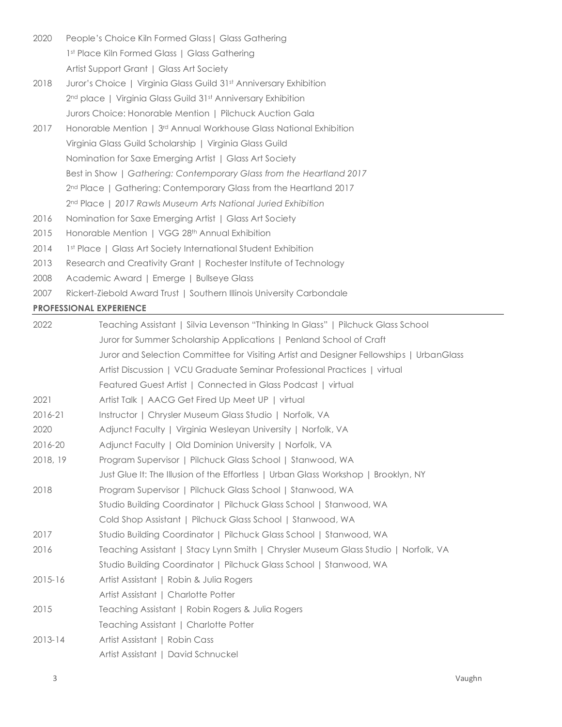- 2020 People's Choice Kiln Formed Glass | Glass Gathering 1st Place Kiln Formed Glass | Glass Gathering Artist Support Grant | Glass Art Society
- 2018 Juror's Choice | Virginia Glass Guild 31st Anniversary Exhibition 2<sup>nd</sup> place | Virginia Glass Guild 31st Anniversary Exhibition Jurors Choice: Honorable Mention | Pilchuck Auction Gala
- 2017 Honorable Mention | 3rd Annual Workhouse Glass National Exhibition Virginia Glass Guild Scholarship | Virginia Glass Guild Nomination for Saxe Emerging Artist | Glass Art Society Best in Show | *Gathering: Contemporary Glass from the Heartland 2017* 2<sup>nd</sup> Place | Gathering: Contemporary Glass from the Heartland 2017 2nd Place | *2017 Rawls Museum Arts National Juried Exhibition*
- 2016 Nomination for Saxe Emerging Artist | Glass Art Society
- 2015 Honorable Mention | VGG 28<sup>th</sup> Annual Exhibition
- 2014 1st Place | Glass Art Society International Student Exhibition
- 2013 Research and Creativity Grant | Rochester Institute of Technology
- 2008 Academic Award | Emerge | Bullseye Glass
- 2007 Rickert-Ziebold Award Trust | Southern Illinois University Carbondale

#### **PROFESSIONAL EXPERIENCE**

| 2022        | Teaching Assistant   Silvia Levenson "Thinking In Glass"   Pilchuck Glass School        |  |  |  |  |  |
|-------------|-----------------------------------------------------------------------------------------|--|--|--|--|--|
|             | Juror for Summer Scholarship Applications   Penland School of Craft                     |  |  |  |  |  |
|             | Juror and Selection Committee for Visiting Artist and Designer Fellowships   UrbanGlass |  |  |  |  |  |
|             | Artist Discussion   VCU Graduate Seminar Professional Practices   virtual               |  |  |  |  |  |
|             | Featured Guest Artist   Connected in Glass Podcast   virtual                            |  |  |  |  |  |
| 2021        | Artist Talk   AACG Get Fired Up Meet UP   virtual                                       |  |  |  |  |  |
| 2016-21     | Instructor   Chrysler Museum Glass Studio   Norfolk, VA                                 |  |  |  |  |  |
| 2020        | Adjunct Faculty   Virginia Wesleyan University   Norfolk, VA                            |  |  |  |  |  |
| 2016-20     | Adjunct Faculty   Old Dominion University   Norfolk, VA                                 |  |  |  |  |  |
| 2018, 19    | Program Supervisor   Pilchuck Glass School   Stanwood, WA                               |  |  |  |  |  |
|             | Just Glue It: The Illusion of the Effortless   Urban Glass Workshop   Brooklyn, NY      |  |  |  |  |  |
| 2018        | Program Supervisor   Pilchuck Glass School   Stanwood, WA                               |  |  |  |  |  |
|             | Studio Building Coordinator   Pilchuck Glass School   Stanwood, WA                      |  |  |  |  |  |
|             | Cold Shop Assistant   Pilchuck Glass School   Stanwood, WA                              |  |  |  |  |  |
| 2017        | Studio Building Coordinator   Pilchuck Glass School   Stanwood, WA                      |  |  |  |  |  |
| 2016        | Teaching Assistant   Stacy Lynn Smith   Chrysler Museum Glass Studio   Norfolk, VA      |  |  |  |  |  |
|             | Studio Building Coordinator   Pilchuck Glass School   Stanwood, WA                      |  |  |  |  |  |
| $2015 - 16$ | Artist Assistant   Robin & Julia Rogers                                                 |  |  |  |  |  |
|             | Artist Assistant   Charlotte Potter                                                     |  |  |  |  |  |
| 2015        | Teaching Assistant   Robin Rogers & Julia Rogers                                        |  |  |  |  |  |
|             | Teaching Assistant   Charlotte Potter                                                   |  |  |  |  |  |
| $2013 - 14$ | Artist Assistant   Robin Cass                                                           |  |  |  |  |  |
|             | Artist Assistant   David Schnuckel                                                      |  |  |  |  |  |